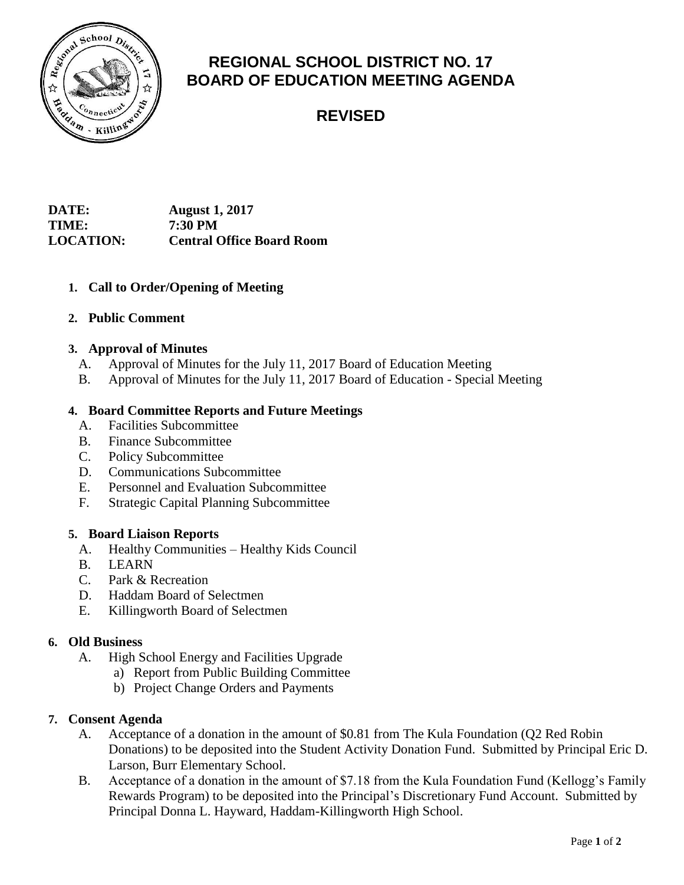

# **REGIONAL SCHOOL DISTRICT NO. 17 BOARD OF EDUCATION MEETING AGENDA**

# **REVISED**

## **DATE: August 1, 2017 TIME: 7:30 PM LOCATION: Central Office Board Room**

## **1. Call to Order/Opening of Meeting**

## **2. Public Comment**

## **3. Approval of Minutes**

- A. Approval of Minutes for the July 11, 2017 Board of Education Meeting
- B. Approval of Minutes for the July 11, 2017 Board of Education Special Meeting

## **4. Board Committee Reports and Future Meetings**

- A. Facilities Subcommittee
- B. Finance Subcommittee
- C. Policy Subcommittee
- D. Communications Subcommittee
- E. Personnel and Evaluation Subcommittee
- F. Strategic Capital Planning Subcommittee

## **5. Board Liaison Reports**

- A. Healthy Communities Healthy Kids Council
- B. LEARN
- C. Park & Recreation
- D. Haddam Board of Selectmen
- E. Killingworth Board of Selectmen

## **6. Old Business**

- A. High School Energy and Facilities Upgrade
	- a) Report from Public Building Committee
	- b) Project Change Orders and Payments

## **7. Consent Agenda**

- A. Acceptance of a donation in the amount of \$0.81 from The Kula Foundation (Q2 Red Robin Donations) to be deposited into the Student Activity Donation Fund. Submitted by Principal Eric D. Larson, Burr Elementary School.
- B. Acceptance of a donation in the amount of \$7.18 from the Kula Foundation Fund (Kellogg's Family Rewards Program) to be deposited into the Principal's Discretionary Fund Account. Submitted by Principal Donna L. Hayward, Haddam-Killingworth High School.